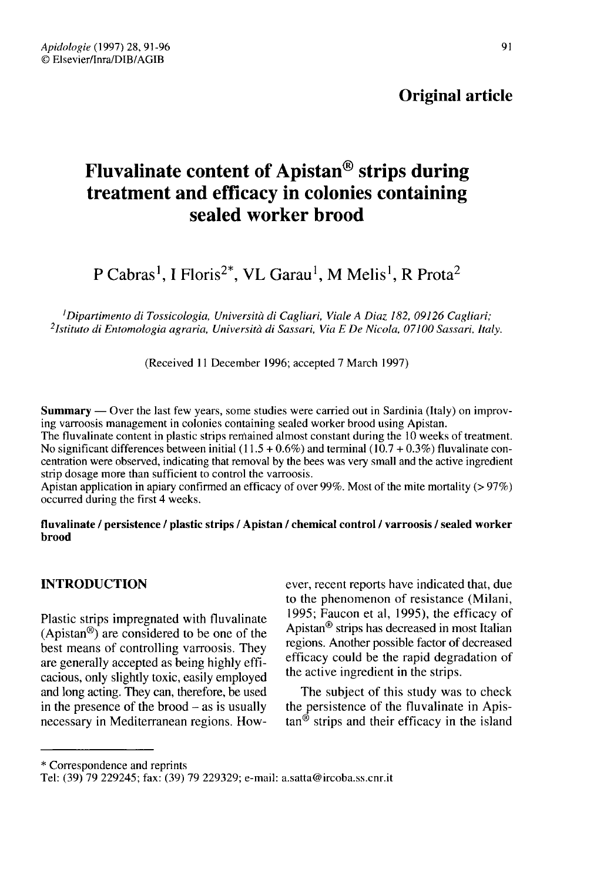## Original article

# Fluvalinate content of Apistan® strips during treatment and efficacy in colonies containing sealed worker brood

P Cabras<sup>1</sup>, I Floris<sup>2\*</sup>, VL Garau<sup>1</sup>, M Melis<sup>1</sup>, R Prota<sup>2</sup><br><sup>1</sup>Dipartimento di Tossicologia, Università di Cagliari, Viale A Diaz 182, 09126 Cagliari;<br><sup>2</sup>Istituto di Entomologia agraria, Università di Sassari, Via E De <sup>1</sup>Dipartimento di Tossicologia, Università di Cagliari, Viale A Diaz 182, 09126 Cagliari;<br><sup>2</sup>Istituto di Entomologia agraria, Università di Sassari, Via E De Nicola, 07100 Sassari, Italy.

(Received 11 December 1996; accepted 7 March 1997)

Summary — Over the last few years, some studies were carried out in Sardinia (Italy) on improving varroosis management in colonies containing sealed worker brood using Apistan.

The fluvalinate content in plastic strips remained almost constant during the 10 weeks of treatment. No significant differences between initial  $(11.5 + 0.6\%)$  and terminal  $(10.7 + 0.3\%)$  fluvalinate concentration were observed, indicating that removal by the bees was very small and the active ingredient strip dosage more than sufficient to control the varroosis.

Apistan application in apiary confirmed an efficacy of over 99%. Most of the mite mortality (> 97%) occurred during the first 4 weeks.

#### fluvalinate / persistence / plastic strips / Apistan / chemical control / varroosis / sealed worker brood

### INTRODUCTION

Plastic strips impregnated with fluvalinate (Apistan®) are considered to be one of the best means of controlling varroosis. They are generally accepted as being highly efficacious, only slightly toxic, easily employed and long acting. They can, therefore, be used in the presence of the brood  $-$  as is usually necessary in Mediterranean regions. However, recent reports have indicated that, due to the phenomenon of resistance (Milani, 1995; Faucon et al, 1995), the efficacy of Apistan® strips has decreased in most Italian regions. Another possible factor of decreased efficacy could be the rapid degradation of the active ingredient in the strips.

The subject of this study was to check the persistence of the fluvalinate in Apis $tan^{6}$  strips and their efficacy in the island

\* Correspondence and reprints

Tel: (39) 79 229245; fax: (39) 79 229329; e-mail: a.satta@ircoba.ss.cnr.it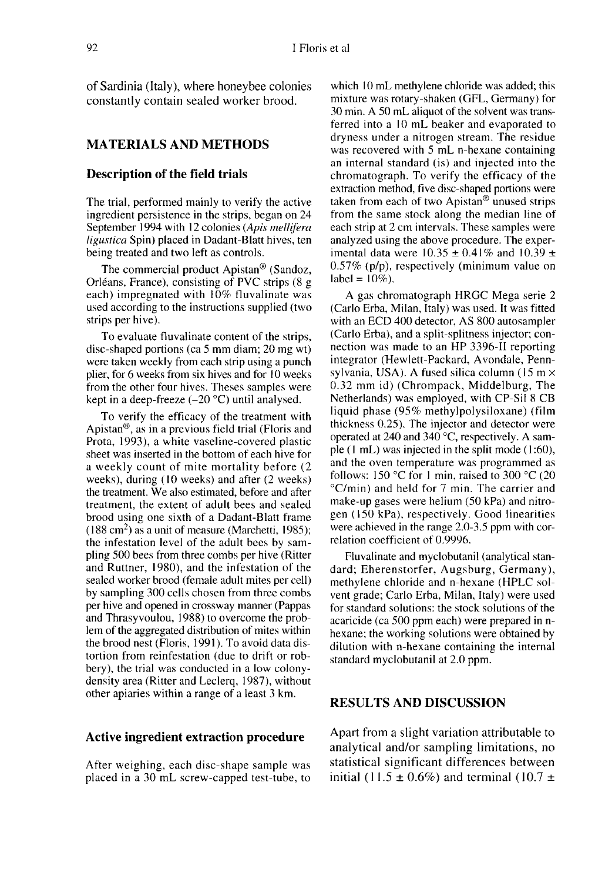of Sardinia (Italy), where honeybee colonies constantly contain sealed worker brood.

#### MATERIALS AND METHODS

#### Description of the field trials

The trial, performed mainly to verify the active ingredient persistence in the strips, began on 24 September 1994 with 12 colonies (Apis mellifera ligustica Spin) placed in Dadant-Blatt hives, ten being treated and two left as controls.

The commercial product Apistan® (Sandoz, Orléans, France), consisting of PVC strips (8 g each) impregnated with 10% fluvalinate was used according to the instructions supplied (two strips per hive).

To evaluate fluvalinate content of the strips, disc-shaped portions (ca 5 mm diam; 20 mg wt) were taken weekly from each strip using a punch plier, for 6 weeks from six hives and for 10 weeks from the other four hives. Theses samples were kept in a deep-freeze  $(-20 °C)$  until analysed.

To verify the efficacy of the treatment with Apistan®, as in a previous field trial (Floris and Prota, 1993), a white vaseline-covered plastic sheet was inserted in the bottom of each hive for a weekly count of mite mortality before (2 weeks), during (10 weeks) and after (2 weeks) the treatment. We also estimated, before and after treatment, the extent of adult bees and sealed brood using one sixth of a Dadant-Blatt frame<br>brood using one sixth of a Dadant-Blatt frame<br>the infectation layel of the adult hees by some the infestation level of the adult bees by sampling 500 bees from three combs per hive (Ritter and Ruttner, 1980), and the infestation of the sealed worker brood (female adult mites per cell) by sampling 300 cells chosen from three combs per hive and opened in crossway manner (Pappas and Thrasyvoulou, 1988) to overcome the problem of the aggregated distribution of mites within the brood nest (Floris, 1991). To avoid data distortion from reinfestation (due to drift or robbery), the trial was conducted in a low colonydensity area (Ritter and Leclerq, 1987), without other apiaries within a range of a least 3 km.

#### Active ingredient extraction procedure

After weighing, each disc-shape sample was placed in a 30 mL screw-capped test-tube, to

which 10 mL methylene chloride was added; this mixture was rotary-shaken (GFL, Germany) for 30 min. A 50 mL aliquot of the solvent was transferred into a 10 mL beaker and evaporated to dryness under a nitrogen stream. The residue was recovered with 5 mL n-hexane containing an internal standard (is) and injected into the chromatograph. To verify the efficacy of the extraction method, five disc-shaped portions were taken from each of two Apistan® unused strips from the same stock along the median line of each strip at 2 cm intervals. These samples were analyzed using the above procedure. The experimental data were  $10.35 \pm 0.41\%$  and  $10.39 \pm 0.41\%$ 0.57% (p/p), respectively (minimum value on label =  $10\%$ ).

A gas chromatograph HRGC Mega serie 2 (Carlo Erba, Milan, Italy) was used. It was fitted with an ECD 400 detector, AS 800 autosampler (Carlo Erba), and a split-splitness injector; connection was made to an HP 3396-II reporting integrator (Hewlett-Packard, Avondale, Pennsylvania, USA). A fused silica column  $(15 \text{ m} \times$ 0.32 mm id) (Chrompack, Middelburg, The Netherlands) was employed, with CP-Sil 8 CB liquid phase (95% methylpolysiloxane) (film thickness 0.25). The injector and detector were operated at 240 and 340 °C, respectively. A sample (1 mL) was injected in the split mode (1:60), and the oven temperature was programmed as follows: 150 °C for 1 min, raised to 300 °C (20 °C/min) and held for 7 min. The carrier and make-up gases were helium (50 kPa) and nitrogen (150 kPa), respectively. Good linearities were achieved in the range 2.0-3.5 ppm with correlation coefficient of 0.9996.

Fluvalinate and myclobutanil (analytical standard; Eherenstorfer, Augsburg, Germany), methylene chloride and n-hexane (HPLC solvent grade; Carlo Erba, Milan, Italy) were used for standard solutions: the stock solutions of the acaricide (ca 500 ppm each) were prepared in hexane; the working solutions were obtained by dilution with n-hexane containing the internal standard myclobutanil at 2.0 ppm.

#### RESULTS AND DISCUSSION

Apart from a slight variation attributable to analytical and/or sampling limitations, no statistical significant differences between initial (11.5  $\pm$  0.6%) and terminal (10.7  $\pm$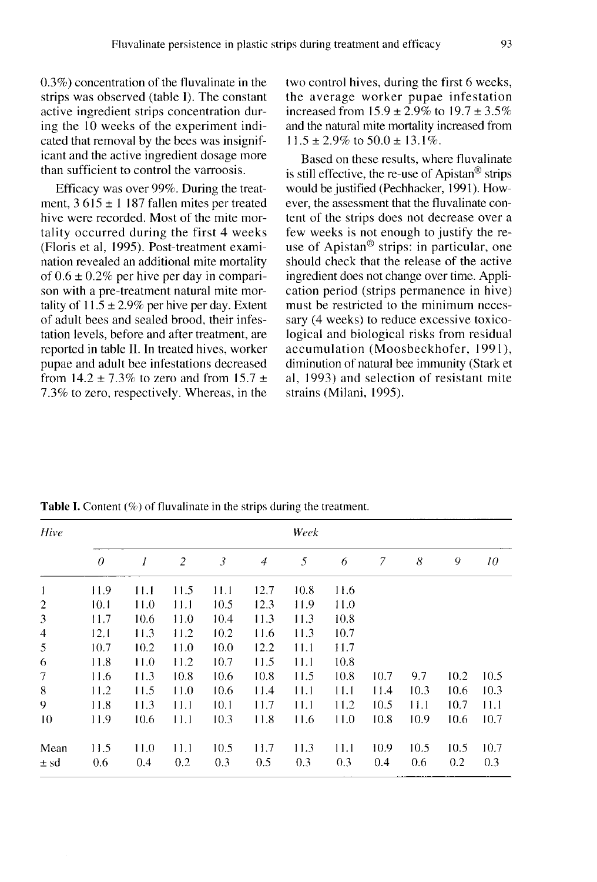0.3%) concentration of the fluvalinate in the strips was observed (table I). The constant active ingredient strips concentration during the 10 weeks of the experiment indicated that removal by the bees was insignificant and the active ingredient dosage more than sufficient to control the varroosis.

Efficacy was over 99%. During the treatment,  $3615 \pm 1187$  fallen mites per treated hive were recorded. Most of the mite mortality occurred during the first 4 weeks (Floris et al, 1995). Post-treatment examination revealed an additional mite mortality of  $0.6 \pm 0.2\%$  per hive per day in comparison with a pre-treatment natural mite mortality of  $11.5 \pm 2.9\%$  per hive per day. Extent of adult bees and sealed brood, their infestation levels, before and after treatment, are reported in table II. In treated hives, worker pupae and adult bee infestations decreased from  $14.2 \pm 7.3\%$  to zero and from  $15.7 \pm 1.5\%$ 7.3% to zero, respectively. Whereas, in the two control hives, during the first 6 weeks, the average worker pupae infestation increased from  $15.9 \pm 2.9\%$  to  $19.7 \pm 3.5\%$ and the natural mite mortality increased from  $11.5 \pm 2.9\%$  to  $50.0 \pm 13.1\%$ .

Based on these results, where fluvalinate is still effective, the re-use of Apistan® strips would be justified (Pechhacker, 1991). However, the assessment that the fluvalinate content of the strips does not decrease over a few weeks is not enough to justify the reuse of Apistan® strips: in particular, one should check that the release of the active ingredient does not change over time. Application period (strips permanence in hive) must be restricted to the minimum necessary (4 weeks) to reduce excessive toxicological and biological risks from residual accumulation (Moosbeckhofer, 1991), diminution of natural bee immunity (Stark et al, 1993) and selection of resistant mite strains (Milani, 1995).

| Hive                 | Week     |      |      |      |                |      |      |      |      |      |      |  |
|----------------------|----------|------|------|------|----------------|------|------|------|------|------|------|--|
|                      | $\theta$ | 1    | 2    | 3    | $\overline{4}$ | 5    | 6    | 7    | 8    | 9    | 10   |  |
| -1                   | 11.9     | 11.1 | 11.5 | 11.1 | 12.7           | 10.8 | 11.6 |      |      |      |      |  |
| $\overline{2}$       | 10.1     | 11.0 | 11.1 | 10.5 | 12.3           | 11.9 | 11.0 |      |      |      |      |  |
| $\boldsymbol{\beta}$ | 11.7     | 10.6 | 11.0 | 10.4 | 11.3           | 11.3 | 10.8 |      |      |      |      |  |
| $\overline{4}$       | 12.1     | 11.3 | 11.2 | 10.2 | 11.6           | 11.3 | 10.7 |      |      |      |      |  |
| 5                    | 10.7     | 10.2 | 11.0 | 10.0 | 12.2           | 11.1 | 11.7 |      |      |      |      |  |
| 6                    | 11.8     | 11.0 | 11.2 | 10.7 | 11.5           | 11.1 | 10.8 |      |      |      |      |  |
| $\overline{7}$       | 11.6     | 11.3 | 10.8 | 10.6 | 10.8           | 11.5 | 10.8 | 10.7 | 9.7  | 10.2 | 10.5 |  |
| 8                    | 11.2     | 11.5 | 11.0 | 10.6 | 11.4           | 11.1 | 11.1 | 11.4 | 10.3 | 10.6 | 10.3 |  |
| 9                    | 11.8     | 11.3 | 11.1 | 10.1 | 11.7           | 11.1 | 11.2 | 10.5 | 11.1 | 10.7 | 11.1 |  |
| 10                   | 11.9     | 10.6 | 11.1 | 10.3 | 11.8           | 11.6 | 11.0 | 10.8 | 10.9 | 10.6 | 10.7 |  |
| Mean                 | 11.5     | 11.0 | 11.1 | 10.5 | 11.7           | 11.3 | 11.1 | 10.9 | 10.5 | 10.5 | 10.7 |  |
| ± sd                 | 0.6      | 0.4  | 0.2  | 0.3  | 0.5            | 0.3  | 0.3  | 0.4  | 0.6  | 0.2  | 0.3  |  |

**Table I.** Content (%) of fluvalinate in the strips during the treatment.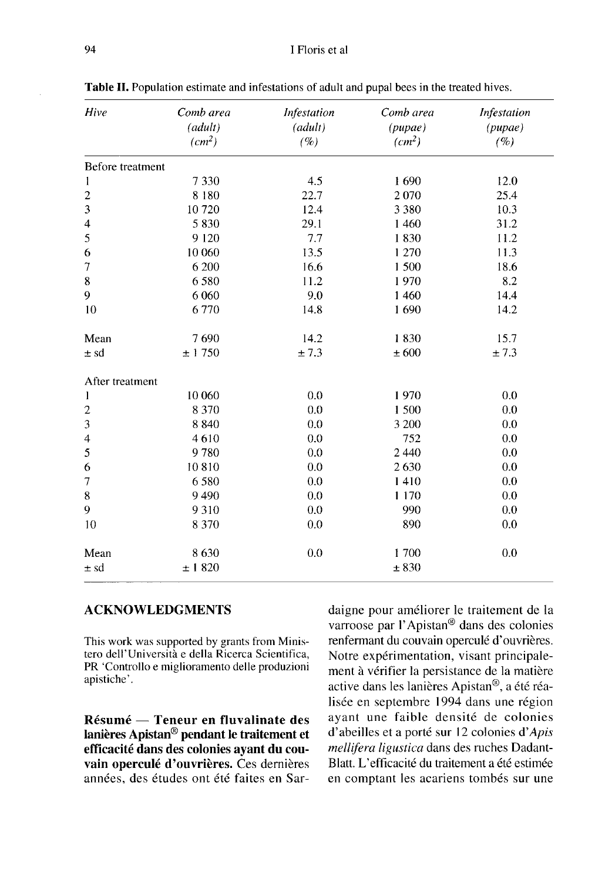| Hive                    | Comb area<br>(adult)<br>(cm <sup>2</sup> ) | Infestation<br>(adult)<br>(%) | Comb area<br>(pupae)<br>(cm <sup>2</sup> ) | Infestation<br>(pupae)<br>(%) |
|-------------------------|--------------------------------------------|-------------------------------|--------------------------------------------|-------------------------------|
| Before treatment        |                                            |                               |                                            |                               |
| 1                       | 7330                                       | 4.5                           | 1690                                       | 12.0                          |
| $\overline{\mathbf{c}}$ | 8 1 8 0                                    | 22.7                          | 2070                                       | 25.4                          |
| 3                       | 10720                                      | 12.4                          | 3 3 8 0                                    | 10.3                          |
| $\overline{\mathbf{4}}$ | 5830                                       | 29.1                          | 1460                                       | 31.2                          |
| 5                       | 9 1 2 0                                    | 7.7                           | 1830                                       | 11.2                          |
| 6                       | 10 060                                     | 13.5                          | 1 2 7 0                                    | 11.3                          |
| 7                       | 6 200                                      | 16.6                          | 1500                                       | 18.6                          |
| 8                       | 6580                                       | 11.2                          | 1970                                       | 8.2                           |
| 9                       | 6 0 6 0                                    | 9.0                           | 1 4 6 0                                    | 14.4                          |
| 10                      | 6770                                       | 14.8                          | 1690                                       | 14.2                          |
| Mean                    | 7690                                       | 14.2                          | 1830                                       | 15.7                          |
| ± sd                    | $\pm$ 1 750                                | $\pm$ 7.3                     | $\pm\,600$                                 | ±7.3                          |
| After treatment         |                                            |                               |                                            |                               |
| $\mathbf{1}$            | 10 060                                     | 0.0                           | 1970                                       | 0.0                           |
| $\overline{c}$          | 8 3 7 0                                    | 0.0                           | 1500                                       | 0.0                           |
| 3                       | 8840                                       | 0.0                           | 3 200                                      | 0.0                           |
| $\overline{4}$          | 4610                                       | 0.0                           | 752                                        | 0.0                           |
| 5                       | 9780                                       | 0.0                           | 2 4 4 0                                    | 0.0                           |
| 6                       | 10810                                      | 0.0                           | 2630                                       | 0.0                           |
| 7                       | 6580                                       | 0.0                           | 1410                                       | 0.0                           |
| 8                       | 9490                                       | 0.0                           | 1 1 7 0                                    | 0.0                           |
| 9                       | 9310                                       | 0.0                           | 990                                        | 0.0                           |
| 10                      | 8 3 7 0                                    | 0.0                           | 890                                        | 0.0                           |
| Mean                    | 8630                                       | 0.0                           | 1700                                       | 0.0                           |
| ± sd                    | ± 1820                                     |                               | ± 830                                      |                               |

Table II. Population estimate and infestations of adult and pupal bees in the treated hives.

#### ACKNOWLEDGMENTS

This work was supported by grants from Ministero dell'Università e della Ricerca Scientifica, PR 'Controllo e miglioramento delle produzioni apistiche'.

Résumé — Teneur en fluvalinate des lanières Apistan® pendant le traitement et efficacité dans des colonies ayant du couvain operculé d'ouvrières. Ces dernières années, des études ont été faites en Sar-

daigne pour améliorer le traitement de la varroose par l'Apistan® dans des colonies renfermant du couvain operculé d'ouvrières. Notre expérimentation, visant principale ment à vérifier la persistance de la matière active dans les lanières Apistan®, a été réalisée en septembre 1994 dans une région ayant une faible densité de colonies d'abeilles et a porté sur 12 colonies d'Apis mellifera ligustica dans des ruches Dadant-Blatt. L'efficacité du traitement a été estimée en comptant les acariens tombés sur une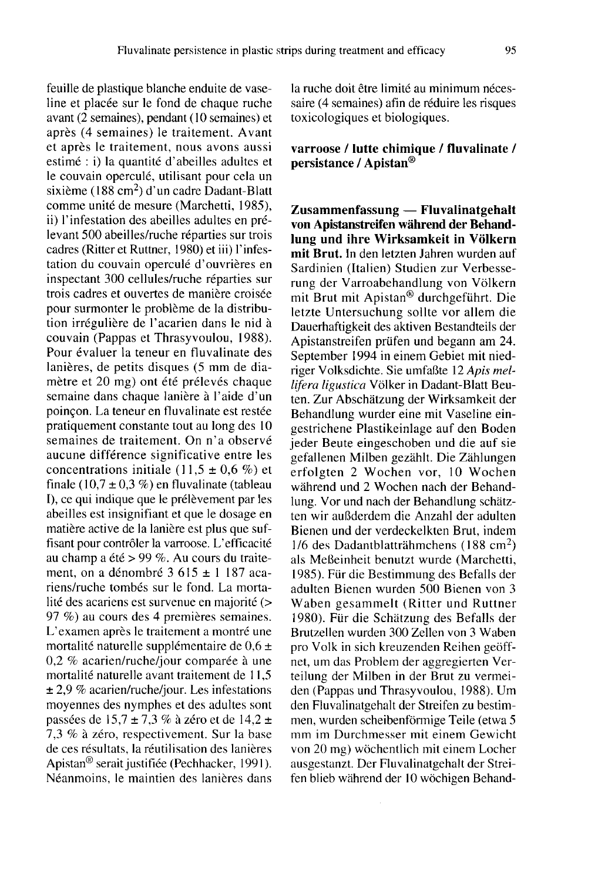feuille de plastique blanche enduite de vaseline et placée sur le fond de chaque ruche avant ( $\overline{2}$  semaines), pendant (10 semaines) et après (4 semaines) le traitement. Avant et après le traitement, nous avons aussi estimé : i) la quantité d'abeilles adultes et le couvain operculé, utilisant pour cela un sixième (188 cm<sup>2</sup>) d'un cadre Dadant-Blatt comme unité de mesure (Marchetti, 1985), ii) l'infestation des abeilles adultes en prélevant 500 abeilles/ruche réparties sur trois cadres (Ritter et Ruttner, 1980) et iii) l'infestation du couvain operculé d'ouvrières en inspectant 300 cellules/ruche réparties sur trois cadres et ouvertes de manière croisée pour surmonter le problème de la distribution irrégulière de l'acarien dans le nid à couvain (Pappas et Thrasyvoulou, 1988). Pour évaluer la teneur en fluvalinate des lanières, de petits disques (5 mm de diamètre et 20 mg) ont été prélevés chaque semaine dans chaque lanière à l'aide d'un poinçon. La teneur en fluvalinate est restée pratiquement constante tout au long des 10 semaines de traitement. On n'a observé aucune différence significative entre les concentrations initiale (11,5  $\pm$  0,6 %) et finale (10,7  $\pm$  0,3 %) en fluvalinate (tableau I), ce qui indique que le prélèvement par les abeilles est insignifiant et que le dosage en matière active de la lanière est plus que suffisant pour contrôler la varroose. L'efficacité au champ a été > 99 %. Au cours du traitement, on a dénombré 3 615 ± 1 187 acariens/ruche tombés sur le fond. La mortalité des acariens est survenue en majorité (> 97 %) au cours des 4 premières semaines. L'examen après le traitement a montré une mortalité naturelle supplémentaire de 0,6 ± 0,2 % acarien/ruche/jour comparée à une mortalité naturelle avant traitement de 11,5 ± 2,9 % acarien/ruche/jour. Les infestations moyennes des nymphes et des adultes sont passées de 15,7 ± 7,3 % à zéro et de 14,2 ± 7,3 % à zéro, respectivement. Sur la base de ces résultats, la réutilisation des lanières Apistan® serait justifiée (Pechhacker, 1991). Néanmoins, le maintien des lanières dans

la ruche doit être limité au minimum nécessaire (4 semaines) afin de réduire les risques toxicologiques et biologiques.

#### varroose / lutte chimique / fluvalinate / persistance / Apistan®

Zusammenfassung — Fluvalinatgehalt von Apistanstreifen während der Behandlung und ihre Wirksamkeit in Völkern mit Brut. In den letzten Jahren wurden auf Sardinien (Italien) Studien zur Verbesserung der Varroabehandlung von Völkern mit Brut mit Apistan® durchgeführt. Die letzte Untersuchung sollte vor allem die Dauerhaftigkeit des aktiven Bestandteils der Apistanstreifen prüfen und begann am 24. September 1994 in einem Gebiet mit niedriger Volksdichte. Sie umfaßte 12 Apis mellifera ligustica Völker in Dadant-Blatt Beuten. Zur Abschätzung der Wirksamkeit der Behandlung wurder eine mit Vaseline eingestrichene Plastikeinlage auf den Boden jeder Beute eingeschoben und die auf sie gefallenen Milben gezählt. Die Zählungen erfolgten 2 Wochen vor, 10 Wochen während und 2 Wochen nach der Behandlung. Vor und nach der Behandlung schätzten wir außderdem die Anzahl der adulten Bienen und der verdeckelkten Brut, indem 1/6 des Dadantblatträhmchens (188 cm2) als Meßeinheit benutzt wurde (Marchetti, 1985). Für die Bestimmung des Befalls der adulten Bienen wurden 500 Bienen von 3 Waben gesammelt (Ritter und Ruttner 1980). Für die Schätzung des Befalls der Brutzellen wurden 300 Zellen von 3 Waben pro Volk in sich kreuzenden Reihen geöffnet, um das Problem der aggregierten Verteilung der Milben in der Brut zu vermeiden (Pappas und Thrasyvoulou, 1988). Um den Fluvalinatgehalt der Streifen zu bestimmen, wurden scheibenförmige Teile (etwa 5 mm im Durchmesser mit einem Gewicht von 20 mg) wöchentlich mit einem Locher ausgestanzt. Der Fluvalinatgehalt der Streifen blieb während der 10 wöchigen Behand-